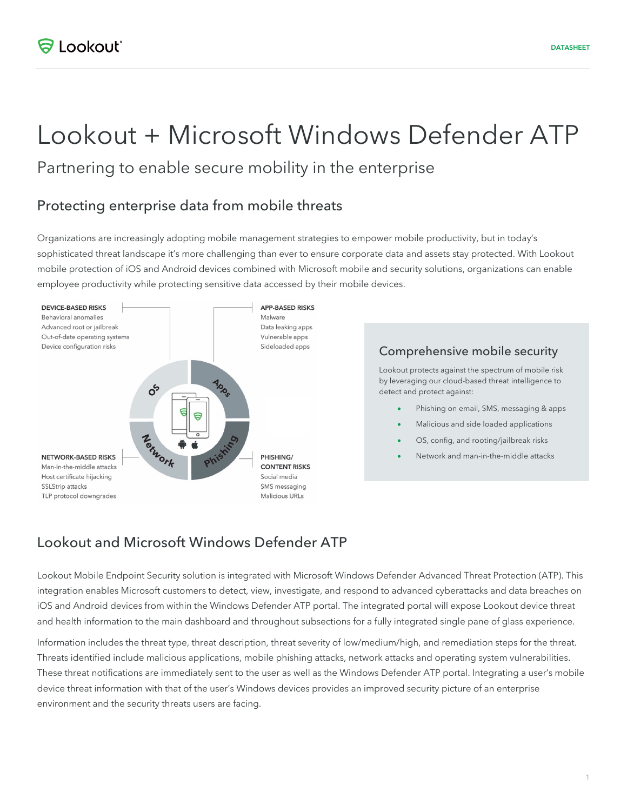# Lookout + Microsoft Windows Defender ATP

Partnering to enable secure mobility in the enterprise

## Protecting enterprise data from mobile threats

Organizations are increasingly adopting mobile management strategies to empower mobile productivity, but in today's sophisticated threat landscape it's more challenging than ever to ensure corporate data and assets stay protected. With Lookout mobile protection of iOS and Android devices combined with Microsoft mobile and security solutions, organizations can enable employee productivity while protecting sensitive data accessed by their mobile devices.



#### Comprehensive mobile security

Lookout protects against the spectrum of mobile risk by leveraging our cloud-based threat intelligence to detect and protect against:

- Phishing on email, SMS, messaging & apps
- Malicious and side loaded applications
- OS, config, and rooting/jailbreak risks
- Network and man-in-the-middle attacks

# Lookout and Microsoft Windows Defender ATP

Lookout Mobile Endpoint Security solution is integrated with Microsoft Windows Defender Advanced Threat Protection (ATP). This integration enables Microsoft customers to detect, view, investigate, and respond to advanced cyberattacks and data breaches on iOS and Android devices from within the Windows Defender ATP portal. The integrated portal will expose Lookout device threat and health information to the main dashboard and throughout subsections for a fully integrated single pane of glass experience.

Information includes the threat type, threat description, threat severity of low/medium/high, and remediation steps for the threat. Threats identified include malicious applications, mobile phishing attacks, network attacks and operating system vulnerabilities. These threat notifications are immediately sent to the user as well as the Windows Defender ATP portal. Integrating a user's mobile device threat information with that of the user's Windows devices provides an improved security picture of an enterprise environment and the security threats users are facing.